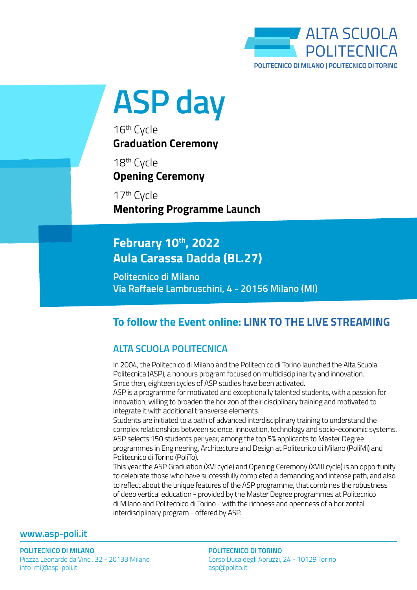

**ASP day**

16th Cycle **Graduation Ceremony**

18<sup>th</sup> Cycle **Opening Ceremony**

17th Cycle **Mentoring Programme Launch**

# **February 10th, 2022 Aula Carassa Dadda (BL.27)**

**Politecnico di Milano Via Raffaele Lambruschini, 4 - 20156 Milano (MI)**

## **To follow the Event online: [LINK TO THE LIVE STREAMING](https://youtu.be/GVRCuBFiLMA)**

## **ALTA SCUOLA POLITECNICA**

In 2004, the Politecnico di Milano and the Politecnico di Torino launched the Alta Scuola Politecnica (ASP), a honours program focused on multidisciplinarity and innovation. Since then, eighteen cycles of ASP studies have been activated.

ASP is a programme for motivated and exceptionally talented students, with a passion for innovation, willing to broaden the horizon of their disciplinary training and motivated to integrate it with additional transverse elements.

Students are initiated to a path of advanced interdisciplinary training to understand the complex relationships between science, innovation, technology and socio-economic systems. ASP selects 150 students per year, among the top 5% applicants to Master Degree programmes in Engineering, Architecture and Design at Politecnico di Milano (PoliMi) and Politecnico di Torino (PoliTo).

This year the ASP Graduation (XVI cycle) and Opening Ceremony (XVIII cycle) is an opportunity to celebrate those who have successfully completed a demanding and intense path, and also to reflect about the unique features of the ASP programme, that combines the robustness of deep vertical education - provided by the Master Degree programmes at Politecnico di Milano and Politecnico di Torino - with the richness and openness of a horizontal interdisciplinary program - offered by ASP.

### **www.asp-poli.it**

**POLITECNICO DI MILANO POLITECNICO DI MILANO** Piazza Leonardo da Vinci, 32 - 20133 Milano Piazza Leonardo da Vinci, 32 - 20133 Milano info-mi@asp-poli.it info-mi@asp-poli.it